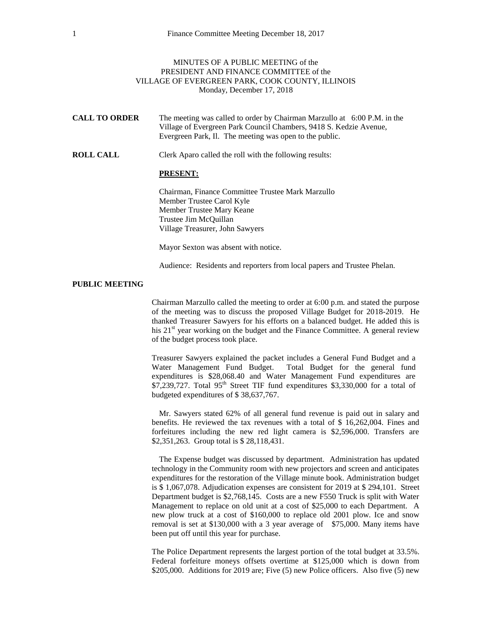## MINUTES OF A PUBLIC MEETING of the PRESIDENT AND FINANCE COMMITTEE of the VILLAGE OF EVERGREEN PARK, COOK COUNTY, ILLINOIS Monday, December 17, 2018

| <b>CALL TO ORDER</b> | The meeting was called to order by Chairman Marzullo at 6:00 P.M. in the |
|----------------------|--------------------------------------------------------------------------|
|                      | Village of Evergreen Park Council Chambers, 9418 S. Kedzie Avenue,       |
|                      | Evergreen Park, Il. The meeting was open to the public.                  |

**ROLL CALL** Clerk Aparo called the roll with the following results:

## **PRESENT:**

Chairman, Finance Committee Trustee Mark Marzullo Member Trustee Carol Kyle Member Trustee Mary Keane Trustee Jim McQuillan Village Treasurer, John Sawyers

Mayor Sexton was absent with notice.

Audience: Residents and reporters from local papers and Trustee Phelan.

## **PUBLIC MEETING**

Chairman Marzullo called the meeting to order at 6:00 p.m. and stated the purpose of the meeting was to discuss the proposed Village Budget for 2018-2019. He thanked Treasurer Sawyers for his efforts on a balanced budget. He added this is his  $21<sup>st</sup>$  year working on the budget and the Finance Committee. A general review of the budget process took place.

Treasurer Sawyers explained the packet includes a General Fund Budget and a Water Management Fund Budget. Total Budget for the general fund expenditures is \$28,068.40 and Water Management Fund expenditures are  $$7,239,727$ . Total 95<sup>th</sup> Street TIF fund expenditures \$3,330,000 for a total of budgeted expenditures of \$ 38,637,767.

Mr. Sawyers stated 62% of all general fund revenue is paid out in salary and benefits. He reviewed the tax revenues with a total of \$ 16,262,004. Fines and forfeitures including the new red light camera is \$2,596,000. Transfers are \$2,351,263. Group total is \$ 28,118,431.

The Expense budget was discussed by department. Administration has updated technology in the Community room with new projectors and screen and anticipates expenditures for the restoration of the Village minute book. Administration budget is \$ 1,067,078. Adjudication expenses are consistent for 2019 at \$ 294,101. Street Department budget is \$2,768,145. Costs are a new F550 Truck is split with Water Management to replace on old unit at a cost of \$25,000 to each Department. A new plow truck at a cost of \$160,000 to replace old 2001 plow. Ice and snow removal is set at \$130,000 with a 3 year average of \$75,000. Many items have been put off until this year for purchase.

The Police Department represents the largest portion of the total budget at 33.5%. Federal forfeiture moneys offsets overtime at \$125,000 which is down from \$205,000. Additions for 2019 are; Five (5) new Police officers. Also five (5) new